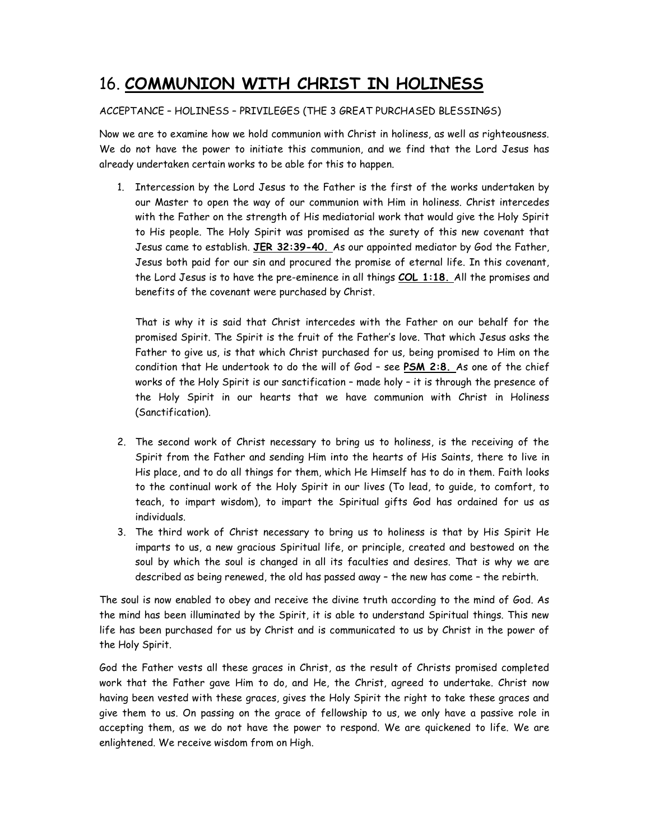## 16. COMMUNION WITH CHRIST IN HOLINESS

## ACCEPTANCE – HOLINESS – PRIVILEGES (THE 3 GREAT PURCHASED BLESSINGS)

Now we are to examine how we hold communion with Christ in holiness, as well as righteousness. We do not have the power to initiate this communion, and we find that the Lord Jesus has already undertaken certain works to be able for this to happen.

1. Intercession by the Lord Jesus to the Father is the first of the works undertaken by our Master to open the way of our communion with Him in holiness. Christ intercedes with the Father on the strength of His mediatorial work that would give the Holy Spirit to His people. The Holy Spirit was promised as the surety of this new covenant that Jesus came to establish. JER 32:39-40. As our appointed mediator by God the Father, Jesus both paid for our sin and procured the promise of eternal life. In this covenant, the Lord Jesus is to have the pre-eminence in all things COL 1:18. All the promises and benefits of the covenant were purchased by Christ.

That is why it is said that Christ intercedes with the Father on our behalf for the promised Spirit. The Spirit is the fruit of the Father's love. That which Jesus asks the Father to give us, is that which Christ purchased for us, being promised to Him on the condition that He undertook to do the will of God – see PSM 2:8. As one of the chief works of the Holy Spirit is our sanctification – made holy – it is through the presence of the Holy Spirit in our hearts that we have communion with Christ in Holiness (Sanctification).

- 2. The second work of Christ necessary to bring us to holiness, is the receiving of the Spirit from the Father and sending Him into the hearts of His Saints, there to live in His place, and to do all things for them, which He Himself has to do in them. Faith looks to the continual work of the Holy Spirit in our lives (To lead, to guide, to comfort, to teach, to impart wisdom), to impart the Spiritual gifts God has ordained for us as individuals.
- 3. The third work of Christ necessary to bring us to holiness is that by His Spirit He imparts to us, a new gracious Spiritual life, or principle, created and bestowed on the soul by which the soul is changed in all its faculties and desires. That is why we are described as being renewed, the old has passed away – the new has come – the rebirth.

The soul is now enabled to obey and receive the divine truth according to the mind of God. As the mind has been illuminated by the Spirit, it is able to understand Spiritual things. This new life has been purchased for us by Christ and is communicated to us by Christ in the power of the Holy Spirit.

God the Father vests all these graces in Christ, as the result of Christs promised completed work that the Father gave Him to do, and He, the Christ, agreed to undertake. Christ now having been vested with these graces, gives the Holy Spirit the right to take these graces and give them to us. On passing on the grace of fellowship to us, we only have a passive role in accepting them, as we do not have the power to respond. We are quickened to life. We are enlightened. We receive wisdom from on High.